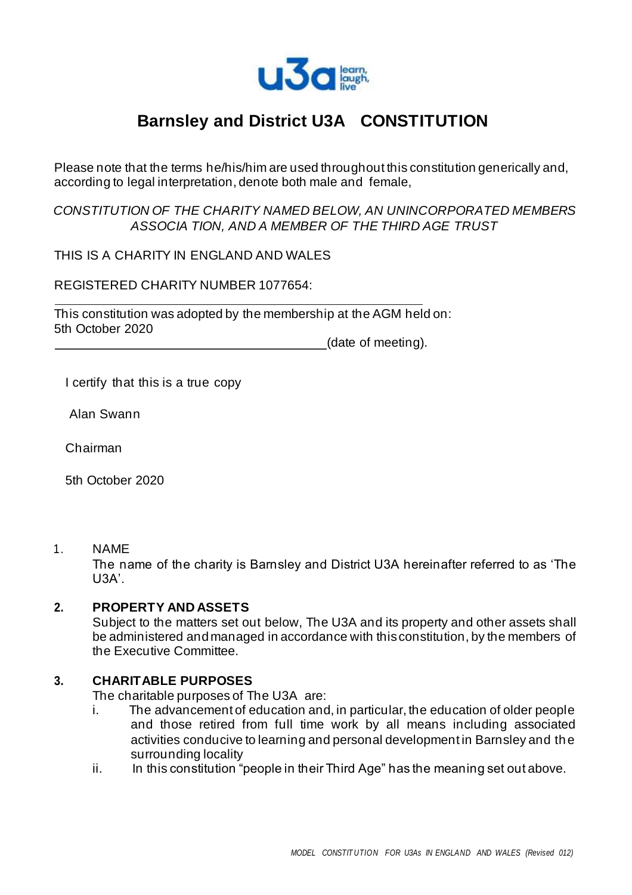

# **Barnsley and District U3A CONSTITUTION**

Please note that the terms he/his/him are used throughout this constitution generically and, according to legal interpretation, denote both male and female,

*CONSTITUTION OF THE CHARITY NAMED BELOW, AN UNINCORPORATED MEMBERS ASSOCIA TION, AND A MEMBER OF THE THIRD AGE TRUST*

THIS IS A CHARITY IN ENGLAND AND WALES

REGISTERED CHARITY NUMBER 1077654:

This constitution was adopted by the membership at the AGM held on: 5th October 2020

(date of meeting).

I certify that this is a true copy

Alan Swann

Chairman

5th October 2020

1. NAME

The name of the charity is Barnsley and District U3A hereinafter referred to as 'The U3A'.

#### **2. PROPERTY AND ASSETS**

Subject to the matters set out below, The U3A and its property and other assets shall be administered andmanaged in accordance with this constitution, by the members of the Executive Committee.

#### **3. CHARITABLE PURPOSES**

The charitable purposes of The U3A are:

- i. The advancement of education and, in particular, the education of older people and those retired from full time work by all means including associated activities conducive to learning and personal development in Barnsley and the surrounding locality
- ii. In this constitution "people in their Third Age" has the meaning set out above.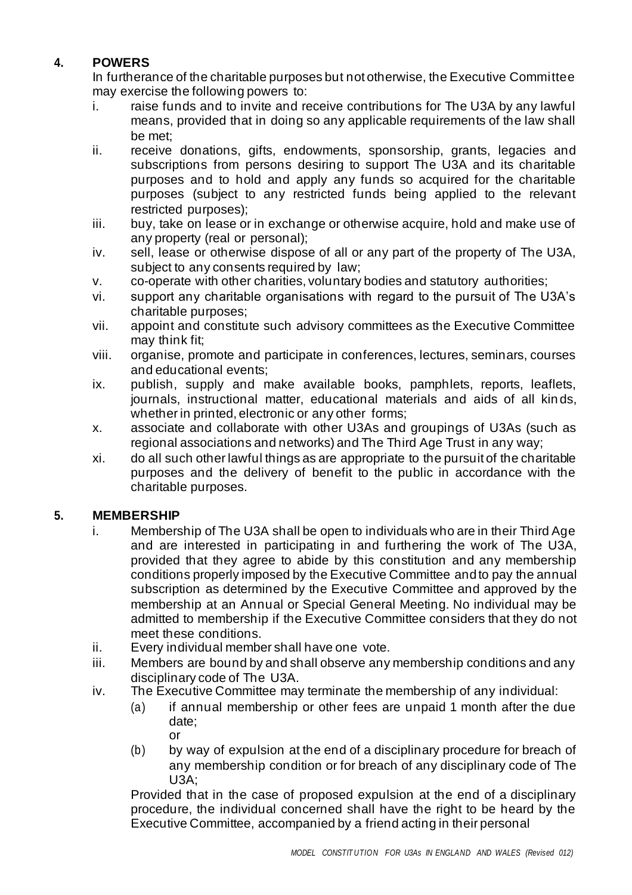# **4. POWERS**

In furtherance of the charitable purposes but not otherwise, the Executive Committee may exercise the following powers to:

- i. raise funds and to invite and receive contributions for The U3A by any lawful means, provided that in doing so any applicable requirements of the law shall be met;
- ii. receive donations, gifts, endowments, sponsorship, grants, legacies and subscriptions from persons desiring to support The U3A and its charitable purposes and to hold and apply any funds so acquired for the charitable purposes (subject to any restricted funds being applied to the relevant restricted purposes);
- iii. buy, take on lease or in exchange or otherwise acquire, hold and make use of any property (real or personal);
- iv. sell, lease or otherwise dispose of all or any part of the property of The U3A, subject to any consents required by law;
- v. co-operate with other charities, voluntary bodies and statutory authorities;
- vi. support any charitable organisations with regard to the pursuit of The U3A's charitable purposes;
- vii. appoint and constitute such advisory committees as the Executive Committee may think fit;
- viii. organise, promote and participate in conferences, lectures, seminars, courses and educational events;
- ix. publish, supply and make available books, pamphlets, reports, leaflets, journals, instructional matter, educational materials and aids of all kin ds, whether in printed, electronic or any other forms;
- x. associate and collaborate with other U3As and groupings of U3As (such as regional associations and networks) and The Third Age Trust in any way;
- xi. do all such other lawful things as are appropriate to the pursuit of the charitable purposes and the delivery of benefit to the public in accordance with the charitable purposes.

## **5. MEMBERSHIP**

- i. Membership of The U3A shall be open to individuals who are in their Third Age and are interested in participating in and furthering the work of The U3A, provided that they agree to abide by this constitution and any membership conditions properly imposed by the Executive Committee andto pay the annual subscription as determined by the Executive Committee and approved by the membership at an Annual or Special General Meeting. No individual may be admitted to membership if the Executive Committee considers that they do not meet these conditions.
- ii. Every individual member shall have one vote.
- iii. Members are bound by and shall observe any membership conditions and any disciplinary code of The U3A.
- iv. The Executive Committee may terminate the membership of any individual:
	- (a) if annual membership or other fees are unpaid 1 month after the due date; or
	- (b) by way of expulsion at the end of a disciplinary procedure for breach of any membership condition or for breach of any disciplinary code of The U3A;

Provided that in the case of proposed expulsion at the end of a disciplinary procedure, the individual concerned shall have the right to be heard by the Executive Committee, accompanied by a friend acting in their personal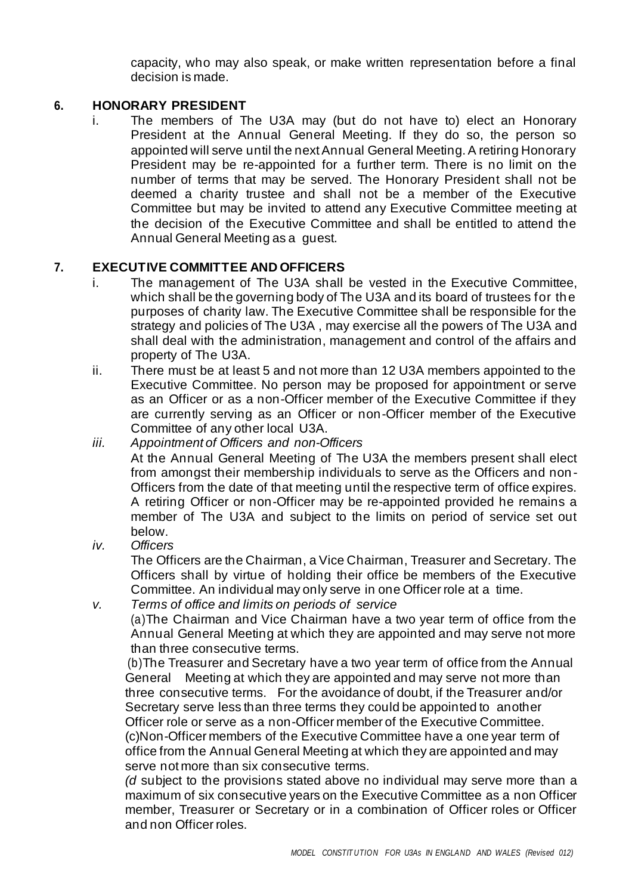capacity, who may also speak, or make written representation before a final decision is made.

#### **6. HONORARY PRESIDENT**

i. The members of The U3A may (but do not have to) elect an Honorary President at the Annual General Meeting. If they do so, the person so appointed will serve until the next Annual General Meeting. A retiring Honorary President may be re-appointed for a further term. There is no limit on the number of terms that may be served. The Honorary President shall not be deemed a charity trustee and shall not be a member of the Executive Committee but may be invited to attend any Executive Committee meeting at the decision of the Executive Committee and shall be entitled to attend the Annual General Meeting as a guest.

#### **7. EXECUTIVE COMMITTEE AND OFFICERS**

- i. The management of The U3A shall be vested in the Executive Committee, which shall be the governing body of The U3A and its board of trustees for the purposes of charity law. The Executive Committee shall be responsible for the strategy and policies of The U3A , may exercise all the powers of The U3A and shall deal with the administration, management and control of the affairs and property of The U3A.
- ii. There must be at least 5 and not more than 12 U3A members appointed to the Executive Committee. No person may be proposed for appointment or serve as an Officer or as a non-Officer member of the Executive Committee if they are currently serving as an Officer or non-Officer member of the Executive Committee of any other local U3A.
- *iii. Appointment of Officers and non-Officers*

At the Annual General Meeting of The U3A the members present shall elect from amongst their membership individuals to serve as the Officers and non-Officers from the date of that meeting until the respective term of office expires. A retiring Officer or non-Officer may be re-appointed provided he remains a member of The U3A and subject to the limits on period of service set out below.

*iv. Officers*

The Officers are the Chairman, a Vice Chairman, Treasurer and Secretary. The Officers shall by virtue of holding their office be members of the Executive Committee. An individual may only serve in one Officer role at a time.

*v. Terms of office and limits on periods of service* (a)The Chairman and Vice Chairman have a two year term of office from the Annual General Meeting at which they are appointed and may serve not more than three consecutive terms.

(b)The Treasurer and Secretary have a two year term of office from the Annual General Meeting at which they are appointed and may serve not more than three consecutive terms. For the avoidance of doubt, if the Treasurer and/or Secretary serve less than three terms they could be appointed to another Officer role or serve as a non-Officer member of the Executive Committee. (c)Non-Officer members of the Executive Committee have a one year term of office from the Annual General Meeting at which they are appointed and may serve not more than six consecutive terms.

*(d* subject to the provisions stated above no individual may serve more than a maximum of six consecutive years on the Executive Committee as a non Officer member, Treasurer or Secretary or in a combination of Officer roles or Officer and non Officer roles.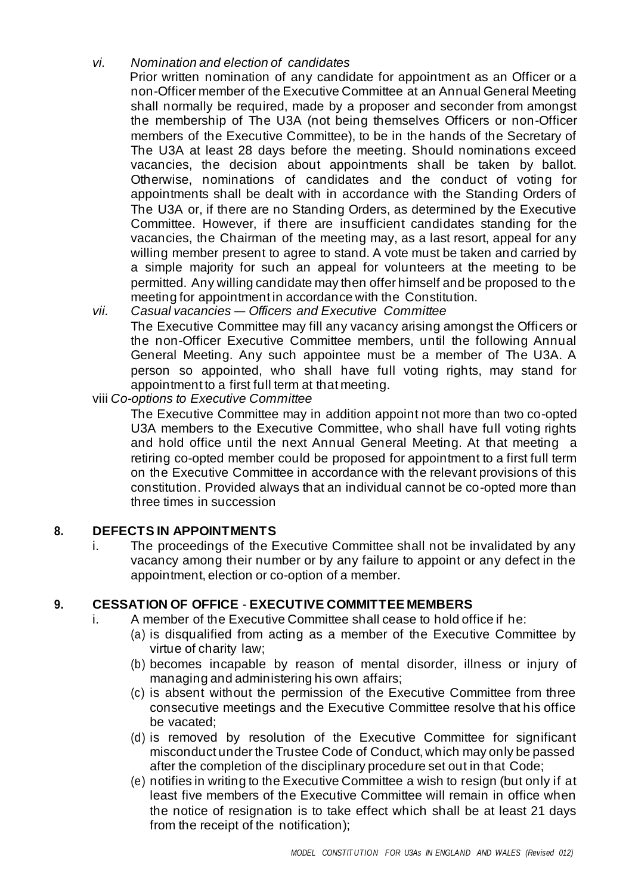#### *vi. Nomination and election of candidates*

Prior written nomination of any candidate for appointment as an Officer or a non-Officer member of the Executive Committee at an Annual General Meeting shall normally be required, made by a proposer and seconder from amongst the membership of The U3A (not being themselves Officers or non-Officer members of the Executive Committee), to be in the hands of the Secretary of The U3A at least 28 days before the meeting. Should nominations exceed vacancies, the decision about appointments shall be taken by ballot. Otherwise, nominations of candidates and the conduct of voting for appointments shall be dealt with in accordance with the Standing Orders of The U3A or, if there are no Standing Orders, as determined by the Executive Committee. However, if there are insufficient candidates standing for the vacancies, the Chairman of the meeting may, as a last resort, appeal for any willing member present to agree to stand. A vote must be taken and carried by a simple majority for such an appeal for volunteers at the meeting to be permitted. Any willing candidate may then offer himself and be proposed to the meeting for appointment in accordance with the Constitution.

*vii. Casual vacancies — Officers and Executive Committee* The Executive Committee may fill any vacancy arising amongst the Officers or the non-Officer Executive Committee members, until the following Annual General Meeting. Any such appointee must be a member of The U3A. A person so appointed, who shall have full voting rights, may stand for appointment to a first full term at that meeting.

viii *Co-options to Executive Committee*

The Executive Committee may in addition appoint not more than two co-opted U3A members to the Executive Committee, who shall have full voting rights and hold office until the next Annual General Meeting. At that meeting a retiring co-opted member could be proposed for appointment to a first full term on the Executive Committee in accordance with the relevant provisions of this constitution. Provided always that an individual cannot be co-opted more than three times in succession

#### **8. DEFECTS IN APPOINTMENTS**

i. The proceedings of the Executive Committee shall not be invalidated by any vacancy among their number or by any failure to appoint or any defect in the appointment, election or co-option of a member.

## **9. CESSATION OF OFFICE** - **EXECUTIVE COMMITTEE MEMBERS**

- i. A member of the Executive Committee shall cease to hold office if he:
	- (a) is disqualified from acting as a member of the Executive Committee by virtue of charity law;
	- (b) becomes incapable by reason of mental disorder, illness or injury of managing and administering his own affairs;
	- (c) is absent without the permission of the Executive Committee from three consecutive meetings and the Executive Committee resolve that his office be vacated;
	- (d) is removed by resolution of the Executive Committee for significant misconduct under the Trustee Code of Conduct, which may only be passed after the completion of the disciplinary procedure set out in that Code;
	- (e) notifies in writing to the Executive Committee a wish to resign (but only if at least five members of the Executive Committee will remain in office when the notice of resignation is to take effect which shall be at least 21 days from the receipt of the notification);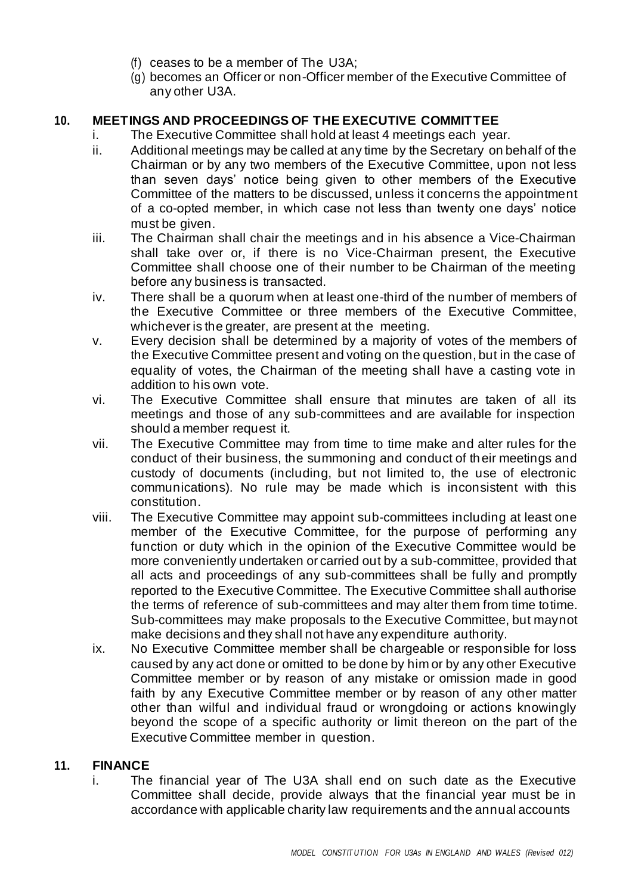- (f) ceases to be a member of The U3A;
- (g) becomes an Officer or non-Officer member of the Executive Committee of any other U3A.

### **10. MEETINGS AND PROCEEDINGS OF THE EXECUTIVE COMMITTEE**

- i. The Executive Committee shall hold at least 4 meetings each year.
- ii. Additional meetings may be called at any time by the Secretary on behalf of the Chairman or by any two members of the Executive Committee, upon not less than seven days' notice being given to other members of the Executive Committee of the matters to be discussed, unless it concerns the appointment of a co-opted member, in which case not less than twenty one days' notice must be given.
- iii. The Chairman shall chair the meetings and in his absence a Vice-Chairman shall take over or, if there is no Vice-Chairman present, the Executive Committee shall choose one of their number to be Chairman of the meeting before any business is transacted.
- iv. There shall be a quorum when at least one-third of the number of members of the Executive Committee or three members of the Executive Committee, whichever is the greater, are present at the meeting.
- v. Every decision shall be determined by a majority of votes of the members of the Executive Committee present and voting on the question, but in the case of equality of votes, the Chairman of the meeting shall have a casting vote in addition to his own vote.
- vi. The Executive Committee shall ensure that minutes are taken of all its meetings and those of any sub-committees and are available for inspection should a member request it.
- vii. The Executive Committee may from time to time make and alter rules for the conduct of their business, the summoning and conduct of their meetings and custody of documents (including, but not limited to, the use of electronic communications). No rule may be made which is inconsistent with this constitution.
- viii. The Executive Committee may appoint sub-committees including at least one member of the Executive Committee, for the purpose of performing any function or duty which in the opinion of the Executive Committee would be more conveniently undertaken or carried out by a sub-committee, provided that all acts and proceedings of any sub-committees shall be fully and promptly reported to the Executive Committee. The Executive Committee shall authorise the terms of reference of sub-committees and may alter them from time totime. Sub-committees may make proposals to the Executive Committee, but maynot make decisions and they shall not have any expenditure authority.
- ix. No Executive Committee member shall be chargeable or responsible for loss caused by any act done or omitted to be done by him or by any other Executive Committee member or by reason of any mistake or omission made in good faith by any Executive Committee member or by reason of any other matter other than wilful and individual fraud or wrongdoing or actions knowingly beyond the scope of a specific authority or limit thereon on the part of the Executive Committee member in question.

#### **11. FINANCE**

i. The financial year of The U3A shall end on such date as the Executive Committee shall decide, provide always that the financial year must be in accordance with applicable charity law requirements and the annual accounts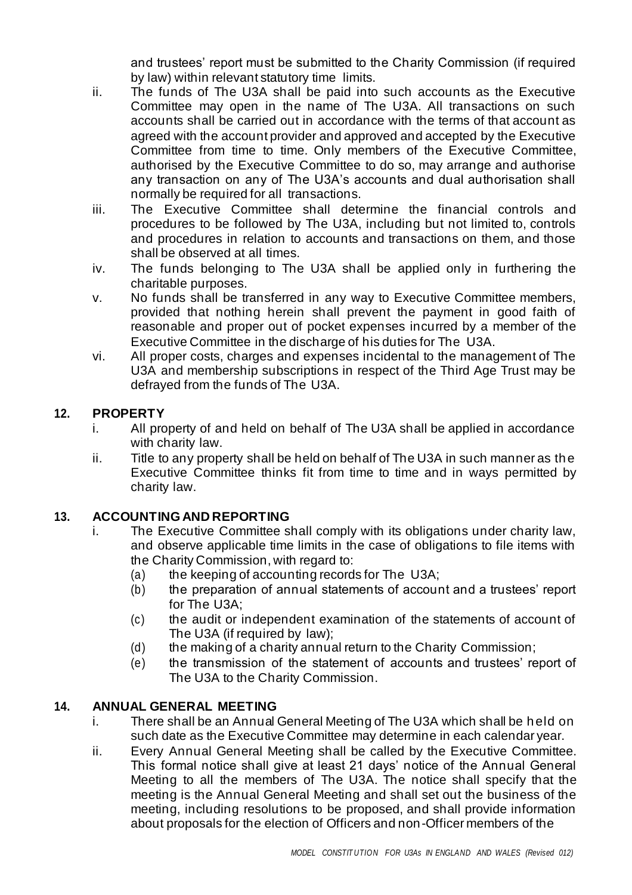and trustees' report must be submitted to the Charity Commission (if required by law) within relevant statutory time limits.

- ii. The funds of The U3A shall be paid into such accounts as the Executive Committee may open in the name of The U3A. All transactions on such accounts shall be carried out in accordance with the terms of that account as agreed with the account provider and approved and accepted by the Executive Committee from time to time. Only members of the Executive Committee, authorised by the Executive Committee to do so, may arrange and authorise any transaction on any of The U3A's accounts and dual authorisation shall normally be required for all transactions.
- iii. The Executive Committee shall determine the financial controls and procedures to be followed by The U3A, including but not limited to, controls and procedures in relation to accounts and transactions on them, and those shall be observed at all times.
- iv. The funds belonging to The U3A shall be applied only in furthering the charitable purposes.
- v. No funds shall be transferred in any way to Executive Committee members, provided that nothing herein shall prevent the payment in good faith of reasonable and proper out of pocket expenses incurred by a member of the Executive Committee in the discharge of his duties for The U3A.
- vi. All proper costs, charges and expenses incidental to the management of The U3A and membership subscriptions in respect of the Third Age Trust may be defrayed from the funds of The U3A.

## **12. PROPERTY**

- i. All property of and held on behalf of The U3A shall be applied in accordance with charity law.
- ii. Title to any property shall be held on behalf of The U3A in such manner as the Executive Committee thinks fit from time to time and in ways permitted by charity law.

## **13. ACCOUNTING AND REPORTING**

- i. The Executive Committee shall comply with its obligations under charity law, and observe applicable time limits in the case of obligations to file items with the Charity Commission, with regard to:
	- (a) the keeping of accounting records for The U3A;
	- (b) the preparation of annual statements of account and a trustees' report for The U3A;
	- (c) the audit or independent examination of the statements of account of The U3A (if required by law);
	- (d) the making of a charity annual return to the Charity Commission;
	- (e) the transmission of the statement of accounts and trustees' report of The U3A to the Charity Commission.

## **14. ANNUAL GENERAL MEETING**

- i. There shall be an Annual General Meeting of The U3A which shall be held on such date as the Executive Committee may determine in each calendar year.
- ii. Every Annual General Meeting shall be called by the Executive Committee. This formal notice shall give at least 21 days' notice of the Annual General Meeting to all the members of The U3A. The notice shall specify that the meeting is the Annual General Meeting and shall set out the business of the meeting, including resolutions to be proposed, and shall provide information about proposals for the election of Officers and non-Officer members of the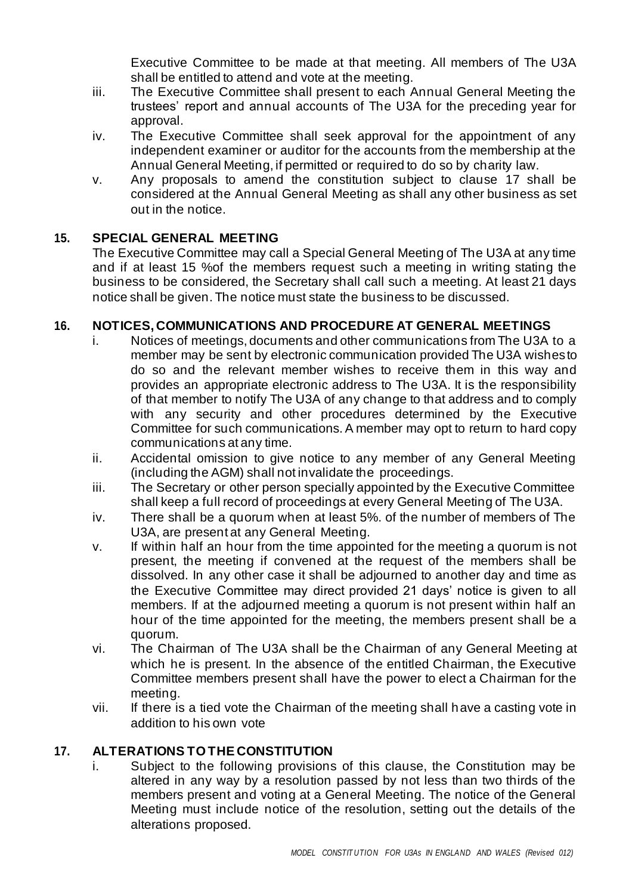Executive Committee to be made at that meeting. All members of The U3A shall be entitled to attend and vote at the meeting.

- iii. The Executive Committee shall present to each Annual General Meeting the trustees' report and annual accounts of The U3A for the preceding year for approval.
- iv. The Executive Committee shall seek approval for the appointment of any independent examiner or auditor for the accounts from the membership at the Annual General Meeting, if permitted or required to do so by charity law.
- v. Any proposals to amend the constitution subject to clause 17 shall be considered at the Annual General Meeting as shall any other business as set out in the notice.

# **15. SPECIAL GENERAL MEETING**

The Executive Committee may call a Special General Meeting of The U3A at any time and if at least 15 %of the members request such a meeting in writing stating the business to be considered, the Secretary shall call such a meeting. At least 21 days notice shall be given. The notice must state the business to be discussed.

#### **16. NOTICES, COMMUNICATIONS AND PROCEDURE AT GENERAL MEETINGS**

- i. Notices of meetings, documents and other communications from The U3A to a member may be sent by electronic communication provided The U3A wishesto do so and the relevant member wishes to receive them in this way and provides an appropriate electronic address to The U3A. It is the responsibility of that member to notify The U3A of any change to that address and to comply with any security and other procedures determined by the Executive Committee for such communications. A member may opt to return to hard copy communications at any time.
- ii. Accidental omission to give notice to any member of any General Meeting (including the AGM) shall not invalidate the proceedings.
- iii. The Secretary or other person specially appointed by the Executive Committee shall keep a full record of proceedings at every General Meeting of The U3A.
- iv. There shall be a quorum when at least 5%. of the number of members of The U3A, are present at any General Meeting.
- v. If within half an hour from the time appointed for the meeting a quorum is not present, the meeting if convened at the request of the members shall be dissolved. In any other case it shall be adjourned to another day and time as the Executive Committee may direct provided 21 days' notice is given to all members. If at the adjourned meeting a quorum is not present within half an hour of the time appointed for the meeting, the members present shall be a quorum.
- vi. The Chairman of The U3A shall be the Chairman of any General Meeting at which he is present. In the absence of the entitled Chairman, the Executive Committee members present shall have the power to elect a Chairman for the meeting.
- vii. If there is a tied vote the Chairman of the meeting shall have a casting vote in addition to his own vote

## **17. ALTERATIONS TO THE CONSTITUTION**

i. Subject to the following provisions of this clause, the Constitution may be altered in any way by a resolution passed by not less than two thirds of the members present and voting at a General Meeting. The notice of the General Meeting must include notice of the resolution, setting out the details of the alterations proposed.